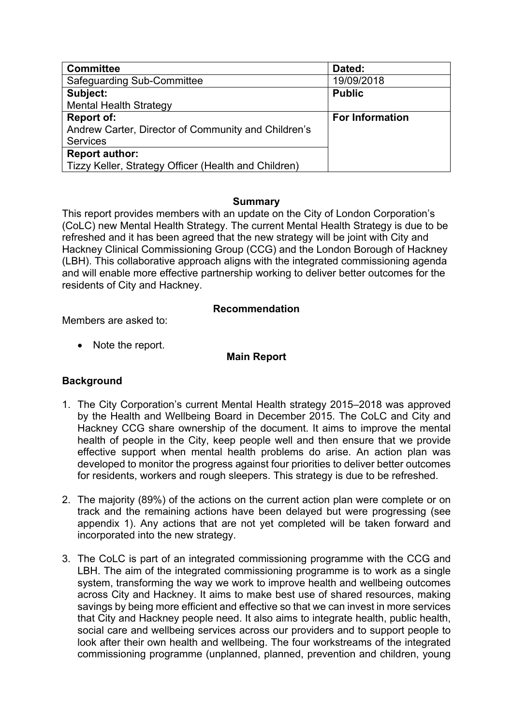| <b>Committee</b>                                     | Dated:                 |
|------------------------------------------------------|------------------------|
| Safeguarding Sub-Committee                           | 19/09/2018             |
| Subject:                                             | <b>Public</b>          |
| <b>Mental Health Strategy</b>                        |                        |
| <b>Report of:</b>                                    | <b>For Information</b> |
| Andrew Carter, Director of Community and Children's  |                        |
| <b>Services</b>                                      |                        |
| <b>Report author:</b>                                |                        |
| Tizzy Keller, Strategy Officer (Health and Children) |                        |

#### **Summary**

This report provides members with an update on the City of London Corporation's (CoLC) new Mental Health Strategy. The current Mental Health Strategy is due to be refreshed and it has been agreed that the new strategy will be joint with City and Hackney Clinical Commissioning Group (CCG) and the London Borough of Hackney (LBH). This collaborative approach aligns with the integrated commissioning agenda and will enable more effective partnership working to deliver better outcomes for the residents of City and Hackney.

#### **Recommendation**

Members are asked to:

• Note the report.

### **Main Report**

### **Background**

- 1. The City Corporation's current Mental Health strategy 2015–2018 was approved by the Health and Wellbeing Board in December 2015. The CoLC and City and Hackney CCG share ownership of the document. It aims to improve the mental health of people in the City, keep people well and then ensure that we provide effective support when mental health problems do arise. An action plan was developed to monitor the progress against four priorities to deliver better outcomes for residents, workers and rough sleepers. This strategy is due to be refreshed.
- 2. The majority (89%) of the actions on the current action plan were complete or on track and the remaining actions have been delayed but were progressing (see appendix 1). Any actions that are not yet completed will be taken forward and incorporated into the new strategy.
- 3. The CoLC is part of an integrated commissioning programme with the CCG and LBH. The aim of the integrated commissioning programme is to work as a single system, transforming the way we work to improve health and wellbeing outcomes across City and Hackney. It aims to make best use of shared resources, making savings by being more efficient and effective so that we can invest in more services that City and Hackney people need. It also aims to integrate health, public health, social care and wellbeing services across our providers and to support people to look after their own health and wellbeing. The four workstreams of the integrated commissioning programme (unplanned, planned, prevention and children, young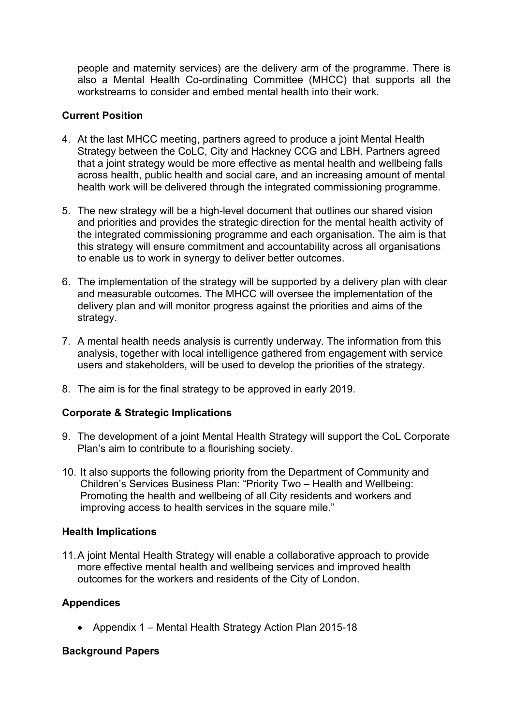people and maternity services) are the delivery arm of the programme. There is also a Mental Health Co-ordinating Committee (MHCC) that supports all the workstreams to consider and embed mental health into their work.

# **Current Position**

- 4. At the last MHCC meeting, partners agreed to produce a joint Mental Health Strategy between the CoLC, City and Hackney CCG and LBH. Partners agreed that a joint strategy would be more effective as mental health and wellbeing falls across health, public health and social care, and an increasing amount of mental health work will be delivered through the integrated commissioning programme.
- 5. The new strategy will be a high-level document that outlines our shared vision and priorities and provides the strategic direction for the mental health activity of the integrated commissioning programme and each organisation. The aim is that this strategy will ensure commitment and accountability across all organisations to enable us to work in synergy to deliver better outcomes.
- 6. The implementation of the strategy will be supported by a delivery plan with clear and measurable outcomes. The MHCC will oversee the implementation of the delivery plan and will monitor progress against the priorities and aims of the strategy.
- 7. A mental health needs analysis is currently underway. The information from this analysis, together with local intelligence gathered from engagement with service users and stakeholders, will be used to develop the priorities of the strategy.
- 8. The aim is for the final strategy to be approved in early 2019.

## **Corporate & Strategic Implications**

- 9. The development of a joint Mental Health Strategy will support the CoL Corporate Plan's aim to contribute to a flourishing society.
- 10. It also supports the following priority from the Department of Community and Children's Services Business Plan: "Priority Two – Health and Wellbeing: Promoting the health and wellbeing of all City residents and workers and improving access to health services in the square mile."

### **Health Implications**

11.A joint Mental Health Strategy will enable a collaborative approach to provide more effective mental health and wellbeing services and improved health outcomes for the workers and residents of the City of London.

## **Appendices**

• Appendix 1 – Mental Health Strategy Action Plan 2015-18

## **Background Papers**